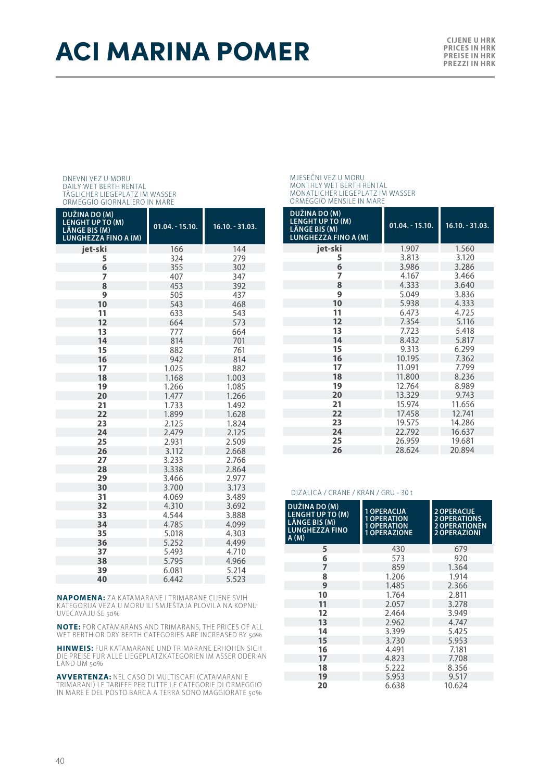## ACI MARINA POMER **CILENE WARREN**

# DNEVNI VEZ U MORU DAILY WET BERTH RENTAL TÄGLICHER LIEGEPLATZ IM WASSER ORMEGGIO GIORNALIERO IN MARE

| DUŽINA DO (M)<br><b>LENGHT UP TO (M)</b><br>LÄNGE BIS (M)<br><b>LUNGHEZZA FINO A (M)</b> | $01.04. - 15.10.$ | $16.10. - 31.03.$ |
|------------------------------------------------------------------------------------------|-------------------|-------------------|
| iet-ski                                                                                  | 166               | 144               |
| 5                                                                                        | 324               | 279               |
| 6                                                                                        | 355               | 302               |
| 7                                                                                        | 407               | 347               |
| 8                                                                                        | 453               | 392               |
| 9                                                                                        | 505               | 437               |
| 10                                                                                       | 543               | 468               |
| 11                                                                                       | 633               | 543               |
| 12                                                                                       | 664               | 573               |
| 13                                                                                       | 777               | 664               |
| 14                                                                                       | 814               | 701               |
| 15                                                                                       | 882               | 761               |
| 16                                                                                       | 942               | 814               |
| 17                                                                                       | 1.025             | 882               |
| 18                                                                                       | 1.168             | 1.003             |
| 19                                                                                       | 1.266             | 1.085             |
| 20                                                                                       | 1.477             | 1.266             |
| 21                                                                                       | 1.733             | 1.492             |
| 22                                                                                       | 1.899             | 1.628             |
| 23                                                                                       | 2.125             | 1.824             |
| 24                                                                                       | 2.479             | 2.125             |
| 25                                                                                       | 2.931             | 2.509             |
| 26                                                                                       | 3.112             | 2.668             |
| 27                                                                                       | 3.233             | 2.766             |
| 28                                                                                       | 3.338             | 2.864             |
| 29                                                                                       | 3.466             | 2.977             |
| 30                                                                                       | 3.700             | 3.173             |
| 31                                                                                       | 4.069             | 3.489             |
| 32                                                                                       | 4.310             | 3.692             |
| 33                                                                                       | 4.544             | 3.888             |
| 34                                                                                       | 4.785             | 4.099             |
| 35                                                                                       | 5.018             | 4.303             |
| 36                                                                                       | 5.252             | 4.499             |
| 37                                                                                       | 5.493             | 4.710             |
| 38                                                                                       | 5.795             | 4.966             |
| 39                                                                                       | 6.081             | 5.214             |
| 40                                                                                       | 6.442             | 5.523             |

**NAPOMENA:** ZA KATAMARANE I TRIMARANE CIJENE SVIH KATEGORIJA VEZA U MORU ILI SMJEŠTAJA PLOVILA NA KOPNU UVEĆAVAJU SE 50%

**NOTE:** FOR CATAMARANS AND TRIMARANS, THE PRICES OF ALL WET BERTH OR DRY BERTH CATEGORIES ARE INCREASED BY 50%

**HINWEIS:** FUR KATAMARANE UND TRIMARANE ERHOHEN SICH DIE PREISE FUR ALLE LIEGEPLATZKATEGORIEN IM ASSER ODER AN LAND UM 50%

**AVVERTENZA:** NEL CASO DI MULTISCAFI (CATAMARANI E TRIMARANI) LE TARIFFE PER TUT TE LE CATEGORIE DI ORMEGGIO IN MARE E DEL POSTO BARCA A TERRA SONO MAGGIORATE 50%

#### MJESEČNI VEZ U MORU MONTHLY WET BERTH RENTAL MONATLICHER LIEGEPLATZ IM WASSER ORMEGGIO MENSILE IN MARE

| DUŽINA DO (M)<br><b>LENGHT UP TO (M)</b><br>LÄNGE BIS (M)<br><b>LUNGHEZZA FINO A (M)</b> | $01.04 - 15.10.$ | $16.10 - 31.03$ . |
|------------------------------------------------------------------------------------------|------------------|-------------------|
| iet-ski                                                                                  | 1.907            | 1.560             |
| 5                                                                                        | 3.813            | 3.120             |
| 6                                                                                        | 3.986            | 3.286             |
| 7                                                                                        | 4.167            | 3.466             |
| 8                                                                                        | 4.333            | 3.640             |
| 9                                                                                        | 5.049            | 3.836             |
| 10                                                                                       | 5.938            | 4.333             |
| 11                                                                                       | 6.473            | 4.725             |
| 12                                                                                       | 7.354            | 5.116             |
| 13                                                                                       | 7.723            | 5.418             |
| 14                                                                                       | 8.432            | 5.817             |
| 15                                                                                       | 9.313            | 6.299             |
| 16                                                                                       | 10.195           | 7.362             |
| 17                                                                                       | 11.091           | 7.799             |
| 18                                                                                       | 11.800           | 8.236             |
| 19                                                                                       | 12.764           | 8.989             |
| 20                                                                                       | 13.329           | 9.743             |
| 21                                                                                       | 15.974           | 11.656            |
| 22                                                                                       | 17.458           | 12.741            |
| 23                                                                                       | 19.575           | 14.286            |
| 24                                                                                       | 22.792           | 16.637            |
| 25                                                                                       | 26.959           | 19.681            |
| 26                                                                                       | 28.624           | 20.894            |

#### DIZALICA / CRANE / KRAN / GRU - 30 t

| DUŽINA DO (M)<br><b>LENGHT UP TO (M)</b><br><b>LÄNGE BIS (M)</b><br><b>LUNGHEZZA FINO</b><br>A(M) | 1 OPERACIJA<br><b>1 OPERATION</b><br><b>1 OPERATION</b><br><b>1 OPERAZIONE</b> | <b>2 OPERACIJE</b><br><b>2 OPERATIONS</b><br><b>2 OPERATIONEN</b><br><b>2 OPERAZIONI</b> |
|---------------------------------------------------------------------------------------------------|--------------------------------------------------------------------------------|------------------------------------------------------------------------------------------|
| 5                                                                                                 | 430                                                                            | 679                                                                                      |
| 6                                                                                                 | 573                                                                            | 920                                                                                      |
| 7                                                                                                 | 859                                                                            | 1.364                                                                                    |
| 8                                                                                                 | 1.206                                                                          | 1.914                                                                                    |
| 9                                                                                                 | 1.485                                                                          | 2.366                                                                                    |
| 10                                                                                                | 1.764                                                                          | 2.811                                                                                    |
| 11                                                                                                | 2.057                                                                          | 3.278                                                                                    |
| 12                                                                                                | 2.464                                                                          | 3.949                                                                                    |
| 13                                                                                                | 2.962                                                                          | 4.747                                                                                    |
| 14                                                                                                | 3.399                                                                          | 5.425                                                                                    |
| 15                                                                                                | 3.730                                                                          | 5.953                                                                                    |
| 16                                                                                                | 4.491                                                                          | 7.181                                                                                    |
| 17                                                                                                | 4.823                                                                          | 7.708                                                                                    |
| 18                                                                                                | 5.222                                                                          | 8.356                                                                                    |
| 19                                                                                                | 5.953                                                                          | 9.517                                                                                    |
| 20                                                                                                | 6.638                                                                          | 10.624                                                                                   |